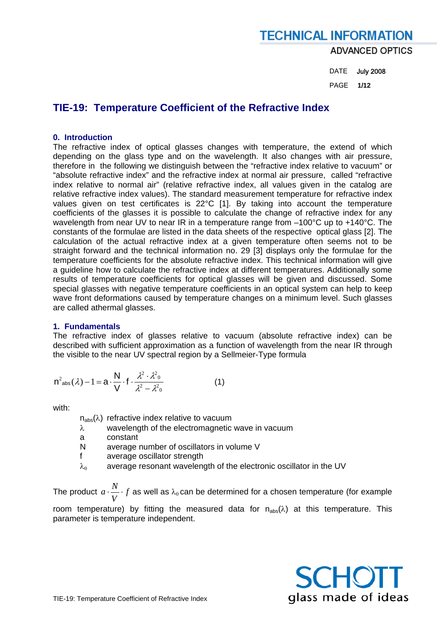DATE July 2008 PAGE **1/12** 

## **TIE-19: Temperature Coefficient of the Refractive Index**

## **0. Introduction**

The refractive index of optical glasses changes with temperature, the extend of which depending on the glass type and on the wavelength. It also changes with air pressure, therefore in the following we distinguish between the "refractive index relative to vacuum" or "absolute refractive index" and the refractive index at normal air pressure, called "refractive index relative to normal air" (relative refractive index, all values given in the catalog are relative refractive index values). The standard measurement temperature for refractive index values given on test certificates is 22°C [1]. By taking into account the temperature coefficients of the glasses it is possible to calculate the change of refractive index for any wavelength from near UV to near IR in a temperature range from  $-100^{\circ}$ C up to +140°C. The constants of the formulae are listed in the data sheets of the respective optical glass [2]. The calculation of the actual refractive index at a given temperature often seems not to be straight forward and the technical information no. 29 [3] displays only the formulae for the temperature coefficients for the absolute refractive index. This technical information will give a guideline how to calculate the refractive index at different temperatures. Additionally some results of temperature coefficients for optical glasses will be given and discussed. Some special glasses with negative temperature coefficients in an optical system can help to keep wave front deformations caused by temperature changes on a minimum level. Such glasses are called athermal glasses.

## **1. Fundamentals**

The refractive index of glasses relative to vacuum (absolute refractive index) can be described with sufficient approximation as a function of wavelength from the near IR through the visible to the near UV spectral region by a Sellmeier-Type formula

$$
n^2_{\text{abs}}(\lambda) - 1 = a \cdot \frac{N}{V} \cdot f \cdot \frac{\lambda^2 \cdot \lambda^2}{\lambda^2 - \lambda^2}
$$
 (1)

with:

- $n_{\text{abs}}(\lambda)$  refractive index relative to vacuum
- λ wavelength of the electromagnetic wave in vacuum
- a constant
- N average number of oscillators in volume V
- f average oscillator strength
- $\lambda_0$  average resonant wavelength of the electronic oscillator in the UV

The product  $\,a\cdot \frac{N}{V}\cdot f$  as well as  $\lambda_0$ can be determined for a chosen temperature (for example

room temperature) by fitting the measured data for  $n_{abs}(\lambda)$  at this temperature. This parameter is temperature independent.

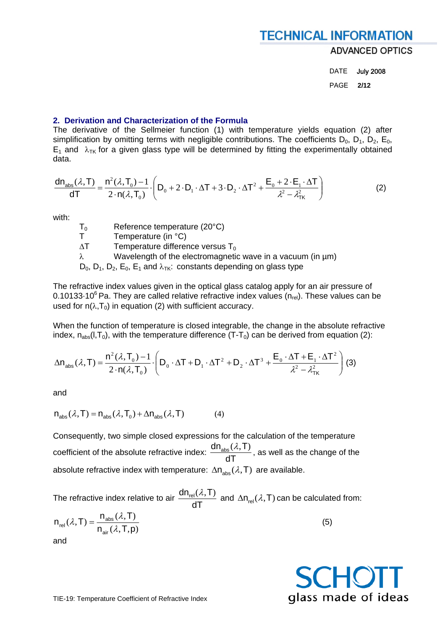DATE July 2008 PAGE **2/12** 

### **2. Derivation and Characterization of the Formula**

The derivative of the Sellmeier function (1) with temperature yields equation (2) after simplification by omitting terms with negligible contributions. The coefficients  $D_0$ ,  $D_1$ ,  $D_2$ ,  $E_0$ ,  $E_1$  and  $\lambda_{TK}$  for a given glass type will be determined by fitting the experimentally obtained data.

$$
\frac{dn_{\text{abs}}(\lambda, T)}{dT} = \frac{n^2(\lambda, T_0) - 1}{2 \cdot n(\lambda, T_0)} \cdot \left( D_0 + 2 \cdot D_1 \cdot \Delta T + 3 \cdot D_2 \cdot \Delta T^2 + \frac{E_0 + 2 \cdot E_1 \cdot \Delta T}{\lambda^2 - \lambda_{TK}^2} \right)
$$
(2)

with:

| $T_0$ | Reference temperature (20°C) |
|-------|------------------------------|
|       |                              |

T Temperature (in °C)

 $\Delta T$  Temperature difference versus T<sub>0</sub>

λ Wavelength of the electromagnetic wave in a vacuum (in µm)

 $D_0$ ,  $D_1$ ,  $D_2$ ,  $E_0$ ,  $E_1$  and  $\lambda_{TK}$ : constants depending on glass type

The refractive index values given in the optical glass catalog apply for an air pressure of 0.10133 $\cdot$ 10<sup>6</sup> Pa. They are called relative refractive index values (n<sub>rel</sub>). These values can be used for  $n(\lambda, T_0)$  in equation (2) with sufficient accuracy.

When the function of temperature is closed integrable, the change in the absolute refractive index,  $n_{\text{abs}}(l, T_0)$ , with the temperature difference (T-T<sub>0</sub>) can be derived from equation (2):

$$
\Delta n_{\text{abs}}(\lambda, T) = \frac{n^2(\lambda, T_0) - 1}{2 \cdot n(\lambda, T_0)} \cdot \left( D_0 \cdot \Delta T + D_1 \cdot \Delta T^2 + D_2 \cdot \Delta T^3 + \frac{E_0 \cdot \Delta T + E_1 \cdot \Delta T^2}{\lambda^2 - \lambda_{TK}^2} \right)
$$
(3)

and

$$
n_{\text{abs}}(\lambda, T) = n_{\text{abs}}(\lambda, T_0) + \Delta n_{\text{abs}}(\lambda, T) \tag{4}
$$

Consequently, two simple closed expressions for the calculation of the temperature coefficient of the absolute refractive index: dT  $\frac{dn_{\text{abs}}(\lambda, T)}{T}$ , as well as the change of the absolute refractive index with temperature:  $\Delta n_{abs}(\lambda, T)$  are available.

The refractive index relative to air dT  $\frac{dn_{\text{rel}}(\lambda, T)}{dT}$  and  $\Delta n_{\text{rel}}(\lambda, T)$  can be calculated from:  $(\lambda, T, p)$  $(\lambda, T) = \frac{n_{\text{abs}}(\lambda, T)}{\lambda}$  $n_{\text{air}}(\lambda, T, p)$  $n_{\rm abs}(\lambda, T)$  $\mathsf{n}_{\sf rel}(\lambda,\mathsf{T})$ air abs  $r_{rel}(\lambda, T) = \frac{n_{abs}(\lambda, T)}{n_{abs}(\lambda, T, p)}$  (5)

and

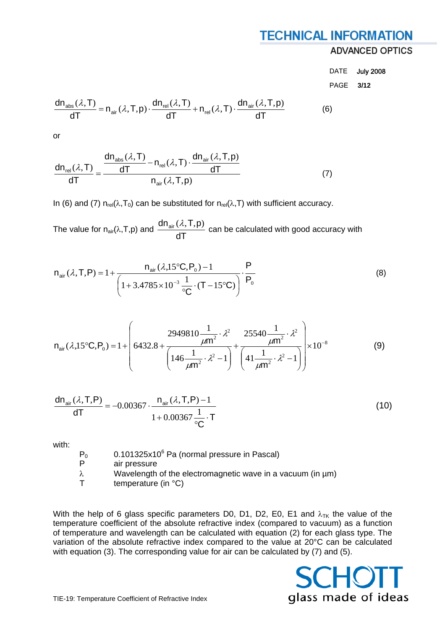## **ADVANCED OPTICS**

DATE July 2008 PAGE **3/12** 

$$
\frac{dn_{\text{abs}}(\lambda, T)}{dT} = n_{\text{air}}(\lambda, T, p) \cdot \frac{dn_{\text{rel}}(\lambda, T)}{dT} + n_{\text{rel}}(\lambda, T) \cdot \frac{dn_{\text{air}}(\lambda, T, p)}{dT}
$$
(6)

or

$$
\frac{dn_{\text{rel}}(\lambda, T)}{dT} = \frac{\frac{dn_{\text{abs}}(\lambda, T)}{dT} - n_{\text{rel}}(\lambda, T) \cdot \frac{dn_{\text{air}}(\lambda, T, p)}{dT}}{n_{\text{air}}(\lambda, T, p)}
$$
(7)

In (6) and (7)  $n_{rel}(\lambda, T_0)$  can be substituted for  $n_{rel}(\lambda, T)$  with sufficient accuracy.

The value for  $n_{air}(\lambda, T, p)$  and  $\frac{d_{air}(\lambda, T, p)}{dT}$  $\frac{d n_{air}(\lambda, T, p)}{d \lambda}$  can be calculated with good accuracy with

$$
n_{\text{air}}(\lambda, T, P) = 1 + \frac{n_{\text{air}}(\lambda, 15^{\circ}C, P_{0}) - 1}{\left(1 + 3.4785 \times 10^{-3} \frac{1}{^{\circ}C} \cdot (T - 15^{\circ}C)\right)} \cdot \frac{P}{P_{0}}
$$
(8)

$$
n_{air}(\lambda,15^{\circ}C,P_{0}) = 1 + \left(6432.8 + \frac{2949810\frac{1}{\mu m^{2}} \cdot \lambda^{2}}{\left(146\frac{1}{\mu m^{2}} \cdot \lambda^{2} - 1\right)} + \frac{25540\frac{1}{\mu m^{2}} \cdot \lambda^{2}}{\left(41\frac{1}{\mu m^{2}} \cdot \lambda^{2} - 1\right)}\right) \times 10^{-8}
$$
(9)

$$
\frac{dn_{air}(\lambda, T, P)}{dT} = -0.00367 \cdot \frac{n_{air}(\lambda, T, P) - 1}{1 + 0.00367 \cdot \frac{1}{^{\circ}C} \cdot T}
$$
(10)

with:

 $P_0$  0.101325x10<sup>6</sup> Pa (normal pressure in Pascal)

- P air pressure
- λ Wavelength of the electromagnetic wave in a vacuum (in µm)
- $T$  temperature (in  $°C$ )

With the help of 6 glass specific parameters D0, D1, D2, E0, E1 and  $\lambda_{TK}$  the value of the temperature coefficient of the absolute refractive index (compared to vacuum) as a function of temperature and wavelength can be calculated with equation (2) for each glass type. The variation of the absolute refractive index compared to the value at 20°C can be calculated with equation (3). The corresponding value for air can be calculated by (7) and (5).

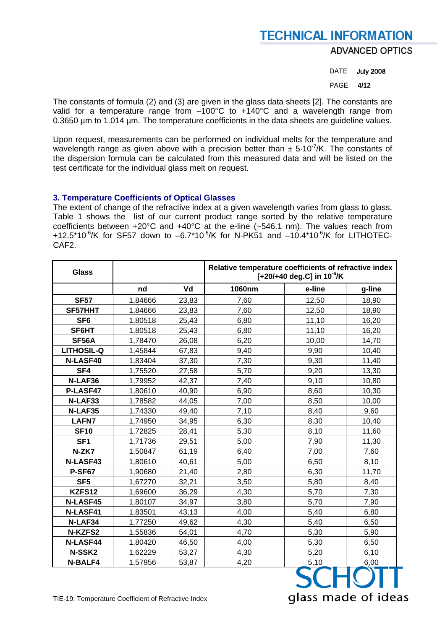**ADVANCED OPTICS** 

DATE July 2008

PAGE **4/12** 

glass made of ideas

The constants of formula (2) and (3) are given in the glass data sheets [2]. The constants are valid for a temperature range from –100°C to +140°C and a wavelength range from 0.3650 µm to 1.014 µm. The temperature coefficients in the data sheets are guideline values.

Upon request, measurements can be performed on individual melts for the temperature and wavelength range as given above with a precision better than  $\pm$  5.10<sup>-7</sup>/K. The constants of the dispersion formula can be calculated from this measured data and will be listed on the test certificate for the individual glass melt on request.

## **3. Temperature Coefficients of Optical Glasses**

The extent of change of the refractive index at a given wavelength varies from glass to glass. Table 1 shows the list of our current product range sorted by the relative temperature coefficients between +20°C and +40°C at the e-line (~546.1 nm). The values reach from +12.5\*10<sup>-6</sup>/K for SF57 down to  $-6.7$ \*10<sup>-6</sup>/K for N-PK51 and  $-10.4$ \*10<sup>-6</sup>/K for LITHOTEC-CAF2.

| <b>Glass</b>      |         |       | Relative temperature coefficients of refractive index<br>$[+20/+40$ deg.C] in 10 <sup>-6</sup> /K |        |        |  |
|-------------------|---------|-------|---------------------------------------------------------------------------------------------------|--------|--------|--|
|                   | nd      | Vd    | 1060nm                                                                                            | e-line | g-line |  |
| <b>SF57</b>       | 1,84666 | 23,83 | 7,60                                                                                              | 12,50  | 18,90  |  |
| SF57HHT           | 1,84666 | 23,83 | 7,60                                                                                              | 12,50  | 18,90  |  |
| SF <sub>6</sub>   | 1,80518 | 25,43 | 6,80                                                                                              | 11,10  | 16,20  |  |
| SF6HT             | 1,80518 | 25,43 | 6,80                                                                                              | 11,10  | 16,20  |  |
| <b>SF56A</b>      | 1,78470 | 26,08 | 6,20                                                                                              | 10,00  | 14,70  |  |
| <b>LITHOSIL-Q</b> | 1,45844 | 67,83 | 9,40                                                                                              | 9,90   | 10,40  |  |
| N-LASF40          | 1,83404 | 37,30 | 7,30                                                                                              | 9,30   | 11,40  |  |
| SF4               | 1,75520 | 27,58 | 5,70                                                                                              | 9,20   | 13,30  |  |
| N-LAF36           | 1,79952 | 42,37 | 7,40                                                                                              | 9,10   | 10,80  |  |
| P-LASF47          | 1,80610 | 40,90 | 6,90                                                                                              | 8,60   | 10,30  |  |
| N-LAF33           | 1,78582 | 44,05 | 7,00                                                                                              | 8,50   | 10,00  |  |
| N-LAF35           | 1,74330 | 49,40 | 7,10                                                                                              | 8,40   | 9,60   |  |
| <b>LAFN7</b>      | 1,74950 | 34,95 | 6,30                                                                                              | 8,30   | 10,40  |  |
| <b>SF10</b>       | 1,72825 | 28,41 | 5,30                                                                                              | 8,10   | 11,60  |  |
| SF <sub>1</sub>   | 1,71736 | 29,51 | 5,00                                                                                              | 7,90   | 11,30  |  |
| N-ZK7             | 1,50847 | 61,19 | 6,40                                                                                              | 7,00   | 7,60   |  |
| N-LASF43          | 1,80610 | 40,61 | 5,00                                                                                              | 6,50   | 8,10   |  |
| <b>P-SF67</b>     | 1,90680 | 21,40 | 2,80                                                                                              | 6,30   | 11,70  |  |
| SF <sub>5</sub>   | 1,67270 | 32,21 | 3,50                                                                                              | 5,80   | 8,40   |  |
| KZFS12            | 1,69600 | 36,29 | 4,30                                                                                              | 5,70   | 7,30   |  |
| <b>N-LASF45</b>   | 1,80107 | 34,97 | 3,80                                                                                              | 5,70   | 7,90   |  |
| N-LASF41          | 1,83501 | 43,13 | 4,00                                                                                              | 5,40   | 6,80   |  |
| N-LAF34           | 1,77250 | 49,62 | 4,30                                                                                              | 5,40   | 6,50   |  |
| N-KZFS2           | 1,55836 | 54,01 | 4,70                                                                                              | 5,30   | 5,90   |  |
| <b>N-LASF44</b>   | 1,80420 | 46,50 | 4,00                                                                                              | 5,30   | 6,50   |  |
| N-SSK2            | 1,62229 | 53,27 | 4,30                                                                                              | 5,20   | 6,10   |  |
| <b>N-BALF4</b>    | 1,57956 | 53,87 | 4,20                                                                                              | 5,10   | 6,00   |  |
|                   |         |       |                                                                                                   |        |        |  |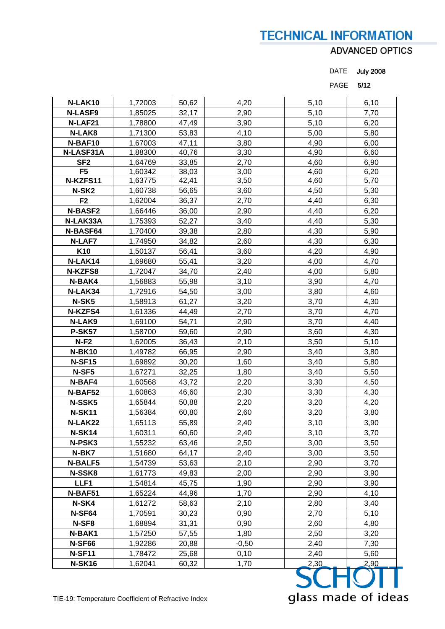## ADVANCED OPTICS

| <b>July 2008</b><br><b>DATE</b> |
|---------------------------------|
|---------------------------------|

PAGE **5/12** 

| N-LAK10           | 1,72003 | 50,62 | 4,20    | 5,10 | 6,10 |
|-------------------|---------|-------|---------|------|------|
| <b>N-LASF9</b>    | 1,85025 | 32,17 | 2,90    | 5,10 | 7,70 |
| N-LAF21           | 1,78800 | 47,49 | 3,90    | 5,10 | 6,20 |
| N-LAK8            | 1,71300 | 53,83 | 4,10    | 5,00 | 5,80 |
| N-BAF10           | 1,67003 | 47,11 | 3,80    | 4,90 | 6,00 |
| N-LASF31A         | 1,88300 | 40,76 | 3,30    | 4,90 | 6,60 |
| SF <sub>2</sub>   | 1,64769 | 33,85 | 2,70    | 4,60 | 6,90 |
| F <sub>5</sub>    | 1,60342 | 38,03 | 3,00    | 4,60 | 6,20 |
| N-KZFS11          | 1,63775 | 42,41 | 3,50    | 4,60 | 5,70 |
| N-SK <sub>2</sub> | 1,60738 | 56,65 | 3,60    | 4,50 | 5,30 |
| F <sub>2</sub>    | 1,62004 | 36,37 | 2,70    | 4,40 | 6,30 |
| <b>N-BASF2</b>    | 1,66446 | 36,00 | 2,90    | 4,40 | 6,20 |
| N-LAK33A          | 1,75393 | 52,27 | 3,40    | 4,40 | 5,30 |
| N-BASF64          | 1,70400 | 39,38 | 2,80    | 4,30 | 5,90 |
| <b>N-LAF7</b>     | 1,74950 | 34,82 | 2,60    | 4,30 | 6,30 |
| K <sub>10</sub>   | 1,50137 | 56,41 | 3,60    | 4,20 | 4,90 |
| N-LAK14           | 1,69680 | 55,41 | 3,20    | 4,00 | 4,70 |
| N-KZFS8           | 1,72047 | 34,70 | 2,40    | 4,00 | 5,80 |
| N-BAK4            | 1,56883 | 55,98 | 3,10    | 3,90 | 4,70 |
| N-LAK34           | 1,72916 | 54,50 | 3,00    | 3,80 | 4,60 |
| N-SK5             | 1,58913 | 61,27 | 3,20    | 3,70 | 4,30 |
| N-KZFS4           | 1,61336 | 44,49 | 2,70    | 3,70 | 4,70 |
| N-LAK9            | 1,69100 | 54,71 | 2,90    | 3,70 | 4,40 |
| <b>P-SK57</b>     | 1,58700 | 59,60 | 2,90    | 3,60 | 4,30 |
| $N-F2$            | 1,62005 | 36,43 | 2,10    | 3,50 | 5,10 |
| <b>N-BK10</b>     | 1,49782 | 66,95 | 2,90    | 3,40 | 3,80 |
| <b>N-SF15</b>     | 1,69892 | 30,20 | 1,60    | 3,40 | 5,80 |
| N-SF5             | 1,67271 | 32,25 | 1,80    | 3,40 | 5,50 |
| N-BAF4            | 1,60568 | 43,72 | 2,20    | 3,30 | 4,50 |
| N-BAF52           | 1,60863 | 46,60 | 2,30    | 3,30 | 4,30 |
| N-SSK5            | 1,65844 | 50,88 | 2,20    | 3,20 | 4,20 |
| <b>N-SK11</b>     | 1,56384 | 60,80 | 2,60    | 3,20 | 3,80 |
| N-LAK22           | 1,65113 | 55,89 | 2,40    | 3,10 | 3,90 |
| <b>N-SK14</b>     | 1,60311 | 60,60 | 2,40    | 3,10 | 3,70 |
| N-PSK3            | 1,55232 | 63,46 | 2,50    | 3,00 | 3,50 |
| N-BK7             | 1,51680 | 64,17 | 2,40    | 3,00 | 3,50 |
| <b>N-BALF5</b>    | 1,54739 | 53,63 | 2,10    | 2,90 | 3,70 |
| N-SSK8            | 1,61773 | 49,83 | 2,00    | 2,90 | 3,90 |
| LLF1              | 1,54814 | 45,75 | 1,90    | 2,90 | 3,90 |
| N-BAF51           | 1,65224 | 44,96 | 1,70    | 2,90 | 4,10 |
| N-SK4             | 1,61272 | 58,63 | 2,10    | 2,80 | 3,40 |
| N-SF64            | 1,70591 | 30,23 | 0,90    | 2,70 | 5,10 |
| N-SF8             | 1,68894 | 31,31 | 0,90    | 2,60 | 4,80 |
| N-BAK1            | 1,57250 | 57,55 | 1,80    | 2,50 | 3,20 |
| <b>N-SF66</b>     | 1,92286 | 20,88 | $-0,50$ | 2,40 | 7,30 |
| <b>N-SF11</b>     | 1,78472 | 25,68 | 0,10    | 2,40 | 5,60 |
| <b>N-SK16</b>     | 1,62041 | 60,32 | 1,70    | 2,30 | 2,90 |
|                   |         |       |         |      |      |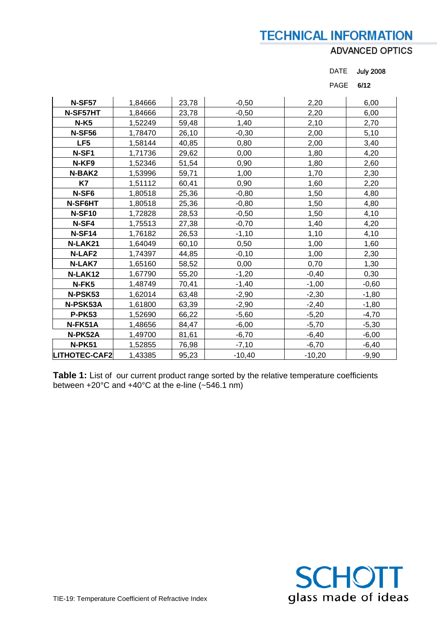## **ADVANCED OPTICS**

DATE July 2008

|                      |         |       |          | <b>PAGE</b> | 6/12    |
|----------------------|---------|-------|----------|-------------|---------|
| <b>N-SF57</b>        | 1,84666 | 23,78 | $-0,50$  | 2,20        | 6,00    |
|                      |         |       |          |             |         |
| N-SF57HT             | 1,84666 | 23,78 | $-0,50$  | 2,20        | 6,00    |
| $N-K5$               | 1,52249 | 59,48 | 1,40     | 2,10        | 2,70    |
| <b>N-SF56</b>        | 1,78470 | 26,10 | $-0,30$  | 2,00        | 5,10    |
| LF <sub>5</sub>      | 1,58144 | 40,85 | 0,80     | 2,00        | 3,40    |
| N-SF1                | 1,71736 | 29,62 | 0,00     | 1,80        | 4,20    |
| N-KF9                | 1,52346 | 51,54 | 0,90     | 1,80        | 2,60    |
| N-BAK2               | 1,53996 | 59,71 | 1,00     | 1,70        | 2,30    |
| K7                   | 1,51112 | 60,41 | 0,90     | 1,60        | 2,20    |
| N-SF6                | 1,80518 | 25,36 | $-0,80$  | 1,50        | 4,80    |
| N-SF6HT              | 1,80518 | 25,36 | $-0,80$  | 1,50        | 4,80    |
| <b>N-SF10</b>        | 1,72828 | 28,53 | $-0,50$  | 1,50        | 4,10    |
| N-SF4                | 1,75513 | 27,38 | $-0,70$  | 1,40        | 4,20    |
| N-SF14               | 1,76182 | 26,53 | $-1,10$  | 1,10        | 4,10    |
| N-LAK21              | 1,64049 | 60,10 | 0,50     | 1,00        | 1,60    |
| <b>N-LAF2</b>        | 1,74397 | 44,85 | $-0,10$  | 1,00        | 2,30    |
| N-LAK7               | 1,65160 | 58,52 | 0,00     | 0,70        | 1,30    |
| N-LAK12              | 1,67790 | 55,20 | $-1,20$  | $-0,40$     | 0,30    |
| N-FK5                | 1,48749 | 70,41 | $-1,40$  | $-1,00$     | $-0,60$ |
| N-PSK53              | 1,62014 | 63,48 | $-2,90$  | $-2,30$     | $-1,80$ |
| N-PSK53A             | 1,61800 | 63,39 | $-2,90$  | $-2,40$     | $-1,80$ |
| <b>P-PK53</b>        | 1,52690 | 66,22 | $-5,60$  | $-5,20$     | $-4,70$ |
| N-FK51A              | 1,48656 | 84,47 | $-6,00$  | $-5,70$     | $-5,30$ |
| N-PK52A              | 1,49700 | 81,61 | $-6,70$  | $-6,40$     | $-6,00$ |
| <b>N-PK51</b>        | 1,52855 | 76,98 | $-7,10$  | $-6,70$     | $-6,40$ |
| <b>LITHOTEC-CAF2</b> | 1,43385 | 95,23 | $-10,40$ | $-10,20$    | $-9,90$ |

**Table 1:** List of our current product range sorted by the relative temperature coefficients between +20°C and +40°C at the e-line  $($ -546.1 nm)

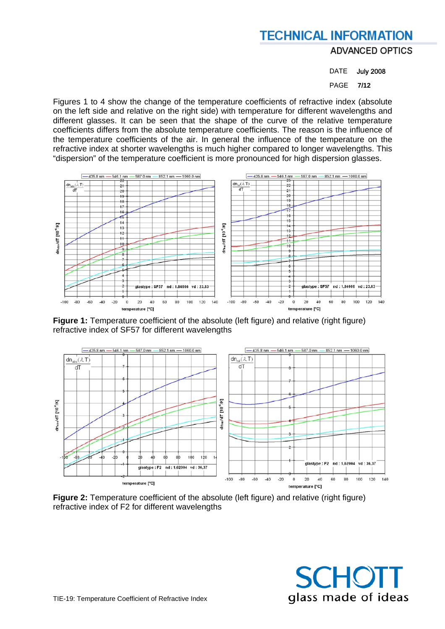DATE July 2008

PAGE **7/12** 

Figures 1 to 4 show the change of the temperature coefficients of refractive index (absolute on the left side and relative on the right side) with temperature for different wavelengths and different glasses. It can be seen that the shape of the curve of the relative temperature coefficients differs from the absolute temperature coefficients. The reason is the influence of the temperature coefficients of the air. In general the influence of the temperature on the refractive index at shorter wavelengths is much higher compared to longer wavelengths. This "dispersion" of the temperature coefficient is more pronounced for high dispersion glasses.



**Figure 1:** Temperature coefficient of the absolute (left figure) and relative (right figure) refractive index of SF57 for different wavelengths



**Figure 2:** Temperature coefficient of the absolute (left figure) and relative (right figure) refractive index of F2 for different wavelengths

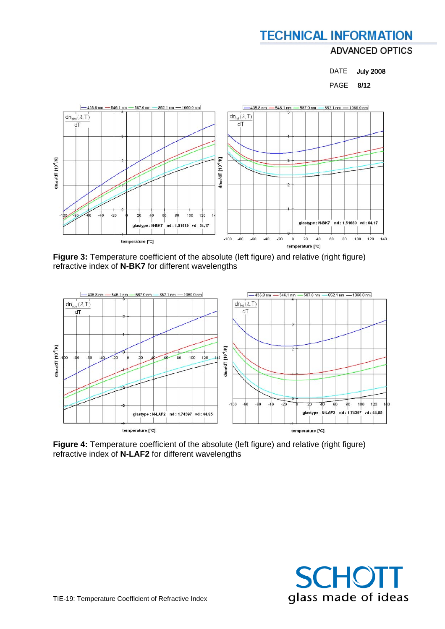### DATE July 2008

PAGE **8/12** 



**Figure 3:** Temperature coefficient of the absolute (left figure) and relative (right figure) refractive index of **N-BK7** for different wavelengths



Figure 4: Temperature coefficient of the absolute (left figure) and relative (right figure) refractive index of **N-LAF2** for different wavelengths

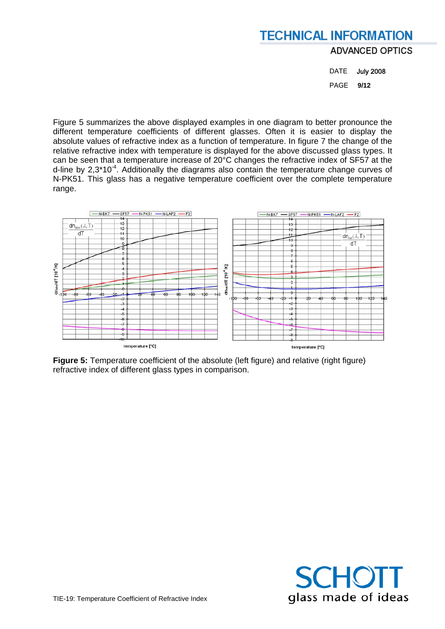DATE July 2008 PAGE **9/12** 

Figure 5 summarizes the above displayed examples in one diagram to better pronounce the different temperature coefficients of different glasses. Often it is easier to display the absolute values of refractive index as a function of temperature. In figure 7 the change of the relative refractive index with temperature is displayed for the above discussed glass types. It can be seen that a temperature increase of 20°C changes the refractive index of SF57 at the d-line by  $2.3*10^{-4}$ . Additionally the diagrams also contain the temperature change curves of N-PK51. This glass has a negative temperature coefficient over the complete temperature range.



Figure 5: Temperature coefficient of the absolute (left figure) and relative (right figure) refractive index of different glass types in comparison.

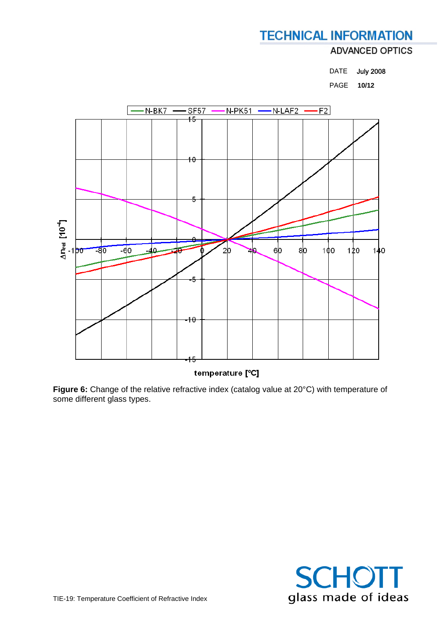DATE July 2008

PAGE **10/12** 



temperature [°C]

Figure 6: Change of the relative refractive index (catalog value at 20°C) with temperature of some different glass types.

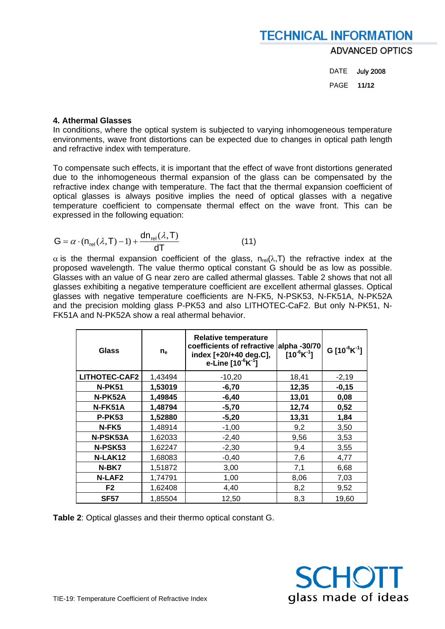DATE July 2008 PAGE **11/12** 

### **4. Athermal Glasses**

In conditions, where the optical system is subjected to varying inhomogeneous temperature environments, wave front distortions can be expected due to changes in optical path length and refractive index with temperature.

To compensate such effects, it is important that the effect of wave front distortions generated due to the inhomogeneous thermal expansion of the glass can be compensated by the refractive index change with temperature. The fact that the thermal expansion coefficient of optical glasses is always positive implies the need of optical glasses with a negative temperature coefficient to compensate thermal effect on the wave front. This can be expressed in the following equation:

$$
G = \alpha \cdot (n_{rel}(\lambda, T) - 1) + \frac{dn_{rel}(\lambda, T)}{dT}
$$
 (11)

 $\alpha$  is the thermal expansion coefficient of the glass, n<sub>rel</sub>(λ, T) the refractive index at the proposed wavelength. The value thermo optical constant G should be as low as possible. Glasses with an value of G near zero are called athermal glasses. Table 2 shows that not all glasses exhibiting a negative temperature coefficient are excellent athermal glasses. Optical glasses with negative temperature coefficients are N-FK5, N-PSK53, N-FK51A, N-PK52A and the precision molding glass P-PK53 and also LITHOTEC-CaF2. But only N-PK51, N-FK51A and N-PK52A show a real athermal behavior.

| <b>Glass</b>         | $n_e$   | <b>Relative temperature</b><br>coefficients of refractive<br>index [+20/+40 deg.C],<br>e-Line $[10^{-6}K^{-1}]$ | alpha -30/70<br>$10^{-6}$ K $^{-1}$ ] | G $[10^6K^1]$ |
|----------------------|---------|-----------------------------------------------------------------------------------------------------------------|---------------------------------------|---------------|
| <b>LITHOTEC-CAF2</b> | 1,43494 | $-10,20$                                                                                                        | 18,41                                 | $-2,19$       |
| <b>N-PK51</b>        | 1,53019 | $-6,70$                                                                                                         | 12,35                                 | $-0,15$       |
| N-PK52A              | 1,49845 | $-6,40$                                                                                                         | 13,01                                 | 0,08          |
| N-FK51A              | 1,48794 | $-5,70$                                                                                                         | 12,74                                 | 0,52          |
| <b>P-PK53</b>        | 1,52880 | $-5,20$                                                                                                         | 13,31                                 | 1,84          |
| N-FK5                | 1,48914 | $-1,00$                                                                                                         | 9,2                                   | 3,50          |
| N-PSK53A             | 1,62033 | $-2,40$                                                                                                         | 9,56                                  | 3,53          |
| N-PSK53              | 1,62247 | $-2,30$                                                                                                         | 9,4                                   | 3,55          |
| N-LAK12              | 1,68083 | $-0,40$                                                                                                         | 7,6                                   | 4,77          |
| N-BK7                | 1,51872 | 3,00                                                                                                            | 7,1                                   | 6,68          |
| <b>N-LAF2</b>        | 1,74791 | 1,00                                                                                                            | 8,06                                  | 7,03          |
| F <sub>2</sub>       | 1,62408 | 4,40                                                                                                            | 8,2                                   | 9,52          |
| <b>SF57</b>          | 1,85504 | 12,50                                                                                                           | 8,3                                   | 19,60         |

**Table 2**: Optical glasses and their thermo optical constant G.